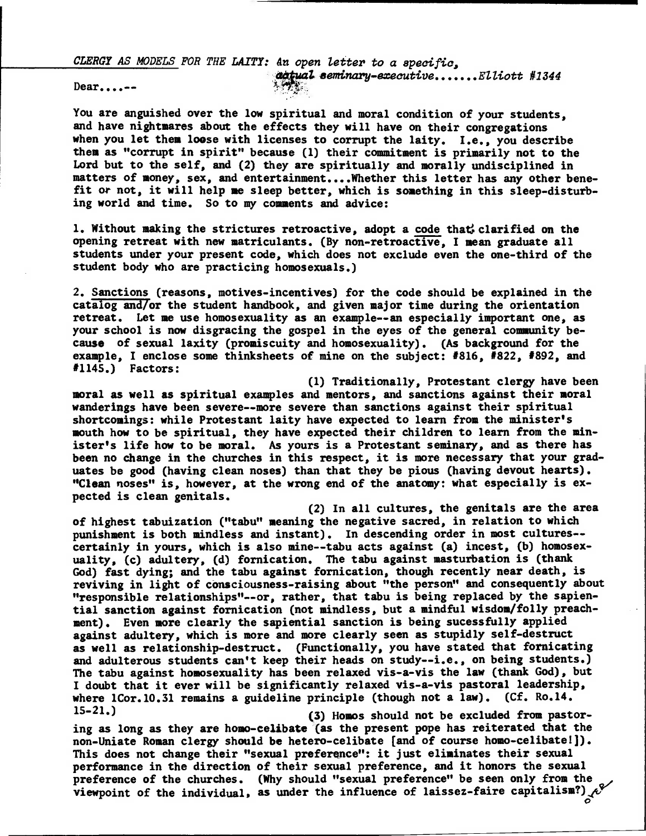**CLERGY AS MODELS FOR THE LAITY: dn open letter to a specific,** 

**satual seminary-executive......Elliott #1344** 

**Dear....--** 

**You are anguished over the low spiritual and moral condition of your students, and have nightmares about the effects they will have on their congregations when you let them loose with licenses to corrupt the laity. I.e., you describe them as "corrupt in spirit" because (1) their commitment is primarily not to the Lord but to the self, and (2) they are spiritually and morally undisciplined in matters of money, sex, and entertainment....Whether this letter has any other benefit or not, it will help me sleep better, which is something in this sleep-disturbing world and time. So to my comments and advice:** 

1. Without making the strictures retroactive, adopt a code that, clarified on the **opening retreat with new matriculants. (By non-retroactive, I mean graduate all students under your present code, which does not exclude even the one-third of the student body who are practicing homosexuals.)** 

**2. Sanctions (reasons, motives-incentives) for the code should be explained in the catalog and/or the student handbook, and given major time during the orientation retreat. Let me use homosexuality as an example--an especially important one, as your school is now disgracing the gospel in the eyes of the general community because of sexual laxity (promiscuity and homosexuality). (As background for the example, I enclose some thinksheets of mine on the subject: #816, #822, #892, and #1145.) Factors:** 

**(1)Traditionally, Protestant clergy have been moral as well as spiritual examples and mentors, and sanctions against their moral wanderings have been severe--more severe than sanctions against their spiritual shortcomings: while Protestant laity have expected to learn from the minister's mouth how to be spiritual, they have expected their children to learn from the minister's life how to be moral. As yours is a Protestant seminary, and as there has been no change in the churches in this respect, it is more necessary that your graduates be good (having clean noses) than that they be pious (having devout hearts). "Clean noses" is, however, at the wrong end of the anatomy: what especially is expected is clean genitals.** 

**(2)In all cultures, the genitals are the area of highest tabuization ("tabu" meaning the negative sacred, in relation to which punishment is both mindless and instant). In descending order in most cultures- certainly in yours, which is also mine--tabu acts against (a) incest, (b) homosexuality, (c) adultery, (d) fornication. The tabu against masturbation is (thank God) fast dying; and the tabu against fornication, though recently near death, is reviving in light of consciousness-raising about "the person" and consequently about "responsible relationships"--or, rather, that tabu is being replaced by the sapiential sanction against fornication (not mindless, but a mindful wisdom/folly preachment). Even more clearly the sapiential sanction is being sucessfully applied against adultery, which is more and more clearly seen as stupidly self-destruct as well as relationship-destruct. (Functionally, you have stated that fornicating and adulterous students can't keep their heads on study--i.e., on being students.) The tabu against homosexuality has been relaxed vis-a-vis the law (thank God), but I doubt that it ever will be significantly relaxed vis-a-vis pastoral leadership, where 1Cor.10.31 remains a guideline principle (though not a law). (Cf. Ro.14. 15-21.) (3) Homos should not be excluded from pastor-**

**ing as long as they are homo-celibate (as the present pope has reiterated that the non-Uniate Roman clergy should be hetero-celibate [and of course homo-celibatel]). This does not change their "sexual preference": it just eliminates their sexual performance in the direction of their sexual preference, and it honors the sexual preference of the churches. (Why should "sexual preference" be seen only from the viewpoint of the individual, as under the influence of laissez-faire capitalism?)**  $\mathcal{C}$